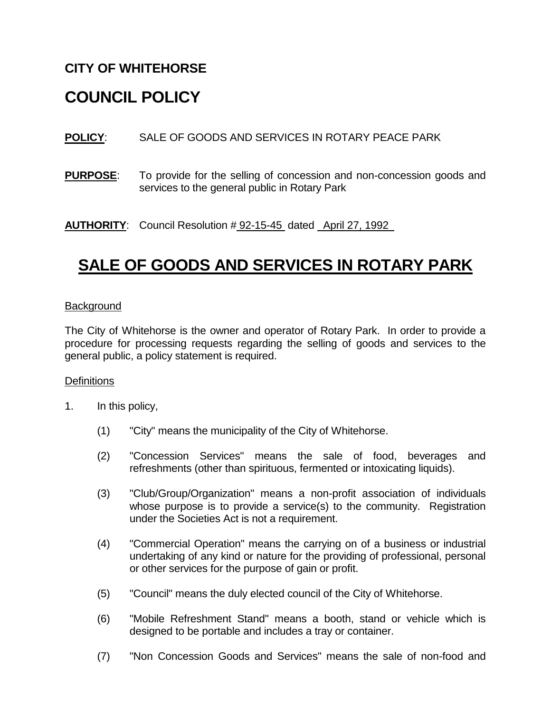# **CITY OF WHITEHORSE**

# **COUNCIL POLICY**

**POLICY**: SALE OF GOODS AND SERVICES IN ROTARY PEACE PARK

**PURPOSE**: To provide for the selling of concession and non-concession goods and services to the general public in Rotary Park

**AUTHORITY**: Council Resolution # 92-15-45 dated April 27, 1992

# **SALE OF GOODS AND SERVICES IN ROTARY PARK**

#### **Background**

The City of Whitehorse is the owner and operator of Rotary Park. In order to provide a procedure for processing requests regarding the selling of goods and services to the general public, a policy statement is required.

#### **Definitions**

- 1. In this policy,
	- (1) "City" means the municipality of the City of Whitehorse.
	- (2) "Concession Services" means the sale of food, beverages and refreshments (other than spirituous, fermented or intoxicating liquids).
	- (3) "Club/Group/Organization" means a non-profit association of individuals whose purpose is to provide a service(s) to the community. Registration under the Societies Act is not a requirement.
	- (4) "Commercial Operation" means the carrying on of a business or industrial undertaking of any kind or nature for the providing of professional, personal or other services for the purpose of gain or profit.
	- (5) "Council" means the duly elected council of the City of Whitehorse.
	- (6) "Mobile Refreshment Stand" means a booth, stand or vehicle which is designed to be portable and includes a tray or container.
	- (7) "Non Concession Goods and Services" means the sale of non-food and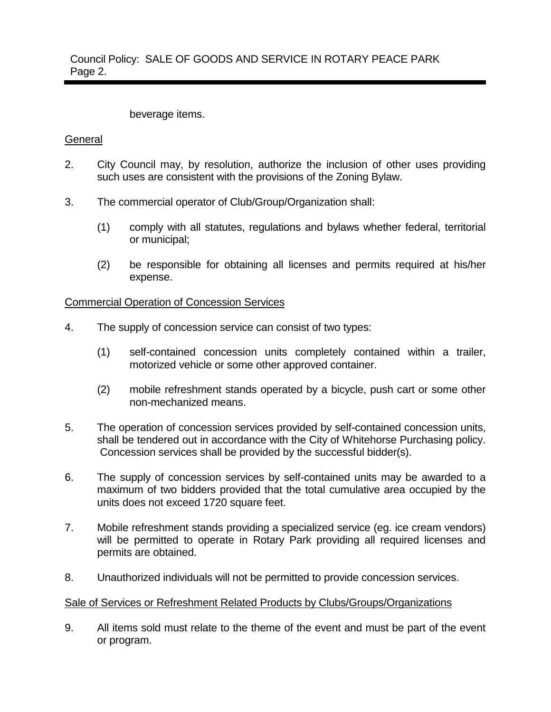Council Policy: SALE OF GOODS AND SERVICE IN ROTARY PEACE PARK Page 2.

## beverage items.

### **General**

- 2. City Council may, by resolution, authorize the inclusion of other uses providing such uses are consistent with the provisions of the Zoning Bylaw.
- 3. The commercial operator of Club/Group/Organization shall:
	- (1) comply with all statutes, regulations and bylaws whether federal, territorial or municipal;
	- (2) be responsible for obtaining all licenses and permits required at his/her expense.

Commercial Operation of Concession Services

- 4. The supply of concession service can consist of two types:
	- (1) self-contained concession units completely contained within a trailer, motorized vehicle or some other approved container.
	- (2) mobile refreshment stands operated by a bicycle, push cart or some other non-mechanized means.
- 5. The operation of concession services provided by self-contained concession units, shall be tendered out in accordance with the City of Whitehorse Purchasing policy. Concession services shall be provided by the successful bidder(s).
- 6. The supply of concession services by self-contained units may be awarded to a maximum of two bidders provided that the total cumulative area occupied by the units does not exceed 1720 square feet.
- 7. Mobile refreshment stands providing a specialized service (eg. ice cream vendors) will be permitted to operate in Rotary Park providing all required licenses and permits are obtained.
- 8. Unauthorized individuals will not be permitted to provide concession services.

## Sale of Services or Refreshment Related Products by Clubs/Groups/Organizations

9. All items sold must relate to the theme of the event and must be part of the event or program.